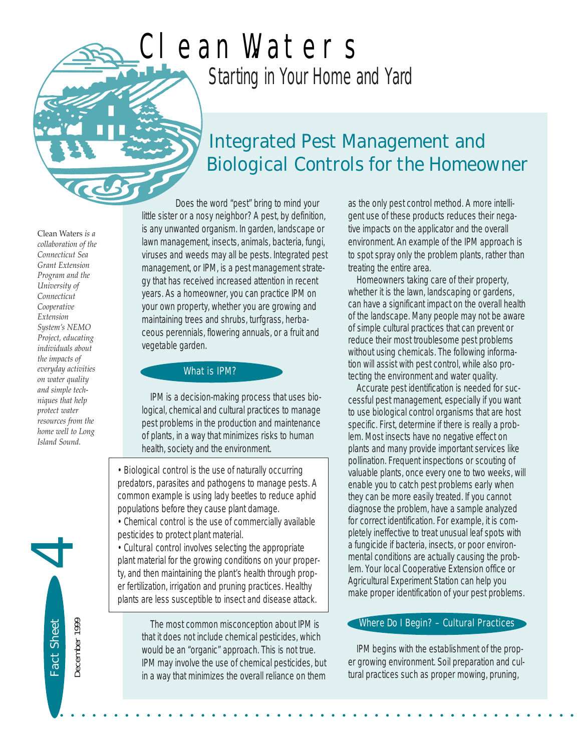# *Starting in Your Home and Yard* Clean Waters

# *Integrated Pest Management and Biological Controls for the Homeowner*

Clean Waters *is a collaboration of the Connecticut Sea Grant Extension Program and the University of Connecticut Cooperative Extension System's NEMO Project, educating individuals about the impacts of everyday activities on water quality and simple techniques that help protect water resources from the home well to Long Island Sound.* 

Does the word "pest" bring to mind your little sister or a nosy neighbor? A pest, by definition, is any unwanted organism. In garden, landscape or lawn management, insects, animals, bacteria, fungi, viruses and weeds may all be pests. Integrated pest management, or IPM, is a pest management strategy that has received increased attention in recent years. As a homeowner, you can practice IPM on your own property, whether you are growing and maintaining trees and shrubs, turfgrass, herbaceous perennials, flowering annuals, or a fruit and vegetable garden.

#### What is IPM?

IPM is a decision-making process that uses biological, chemical and cultural practices to manage pest problems in the production and maintenance of plants, in a way that minimizes risks to human health, society and the environment.

• Biological control is the use of naturally occurring predators, parasites and pathogens to manage pests. A common example is using lady beetles to reduce aphid populations before they cause plant damage.

• Chemical control is the use of commercially available pesticides to protect plant material.

• Cultural control involves selecting the appropriate plant material for the growing conditions on your property, and then maintaining the plant's health through proper fertilization, irrigation and pruning practices. Healthy plants are less susceptible to insect and disease attack.

> The most common misconception about IPM is that it does not include chemical pesticides, which would be an "organic" approach. This is not true. IPM may involve the use of chemical pesticides, but in a way that minimizes the overall reliance on them

• • • • • • • • • • • • • • • • • • • • • • • • • • • • • • • • • • • • • • • • • • • • • • • •

as the only pest control method. A more intelligent use of these products reduces their negative impacts on the applicator and the overall environment. An example of the IPM approach is to spot spray only the problem plants, rather than treating the entire area.

Homeowners taking care of their property, whether it is the lawn, landscaping or gardens, can have a significant impact on the overall health of the landscape. Many people may not be aware of simple cultural practices that can prevent or reduce their most troublesome pest problems without using chemicals. The following information will assist with pest control, while also protecting the environment and water quality.

Accurate pest identification is needed for successful pest management, especially if you want to use biological control organisms that are host specific. First, determine if there is really a problem. Most insects have no negative effect on plants and many provide important services like pollination. Frequent inspections or scouting of valuable plants, once every one to two weeks, will enable you to catch pest problems early when they can be more easily treated. If you cannot diagnose the problem, have a sample analyzed for correct identification. For example, it is completely ineffective to treat unusual leaf spots with a fungicide if bacteria, insects, or poor environmental conditions are actually causing the problem. Your local Cooperative Extension office or Agricultural Experiment Station can help you make proper identification of your pest problems.

#### Where Do I Begin? – Cultural Practices

IPM begins with the establishment of the proper growing environment. Soil preparation and cultural practices such as proper mowing, pruning,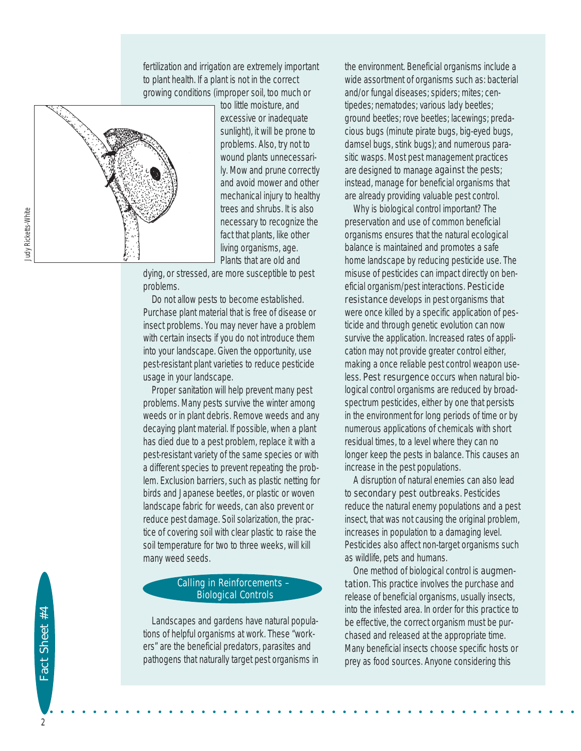fertilization and irrigation are extremely important to plant health. If a plant is not in the correct growing conditions (improper soil, too much or



too little moisture, and excessive or inadequate sunlight), it will be prone to problems. Also, try not to wound plants unnecessarily. Mow and prune correctly and avoid mower and other mechanical injury to healthy trees and shrubs. It is also necessary to recognize the fact that plants, like other living organisms, age. Plants that are old and

dying, or stressed, are more susceptible to pest problems.

Do not allow pests to become established. Purchase plant material that is free of disease or insect problems. You may never have a problem with certain insects if you do not introduce them into your landscape. Given the opportunity, use pest-resistant plant varieties to reduce pesticide usage in your landscape.

Proper sanitation will help prevent many pest problems. Many pests survive the winter among weeds or in plant debris. Remove weeds and any decaying plant material. If possible, when a plant has died due to a pest problem, replace it with a pest-resistant variety of the same species or with a different species to prevent repeating the problem. Exclusion barriers, such as plastic netting for birds and Japanese beetles, or plastic or woven landscape fabric for weeds, can also prevent or reduce pest damage. Soil solarization, the practice of covering soil with clear plastic to raise the soil temperature for two to three weeks, will kill many weed seeds.

#### Calling in Reinforcements – Biological Controls

Landscapes and gardens have natural populations of helpful organisms at work. These "workers" are the beneficial predators, parasites and pathogens that naturally target pest organisms in the environment. Beneficial organisms include a wide assortment of organisms such as: bacterial and/or fungal diseases; spiders; mites; centipedes; nematodes; various lady beetles; ground beetles; rove beetles; lacewings; predacious bugs (minute pirate bugs, big-eyed bugs, damsel bugs, stink bugs); and numerous parasitic wasps. Most pest management practices are designed to manage against the pests; instead, manage for beneficial organisms that are already providing valuable pest control.

Why is biological control important? The preservation and use of common beneficial organisms ensures that the natural ecological balance is maintained and promotes a safe home landscape by reducing pesticide use. The misuse of pesticides can impact directly on beneficial organism/pest interactions. Pesticide resistance develops in pest organisms that were once killed by a specific application of pesticide and through genetic evolution can now survive the application. Increased rates of application may not provide greater control either, making a once reliable pest control weapon useless. Pest resurgence occurs when natural biological control organisms are reduced by broadspectrum pesticides, either by one that persists in the environment for long periods of time or by numerous applications of chemicals with short residual times, to a level where they can no longer keep the pests in balance. This causes an increase in the pest populations.

A disruption of natural enemies can also lead to secondary pest outbreaks. Pesticides reduce the natural enemy populations and a pest insect, that was not causing the original problem, increases in population to a damaging level. Pesticides also affect non-target organisms such as wildlife, pets and humans.

One method of biological control is augmentation. This practice involves the purchase and release of beneficial organisms, usually insects, into the infested area. In order for this practice to be effective, the correct organism must be purchased and released at the appropriate time. Many beneficial insects choose specific hosts or prey as food sources. Anyone considering this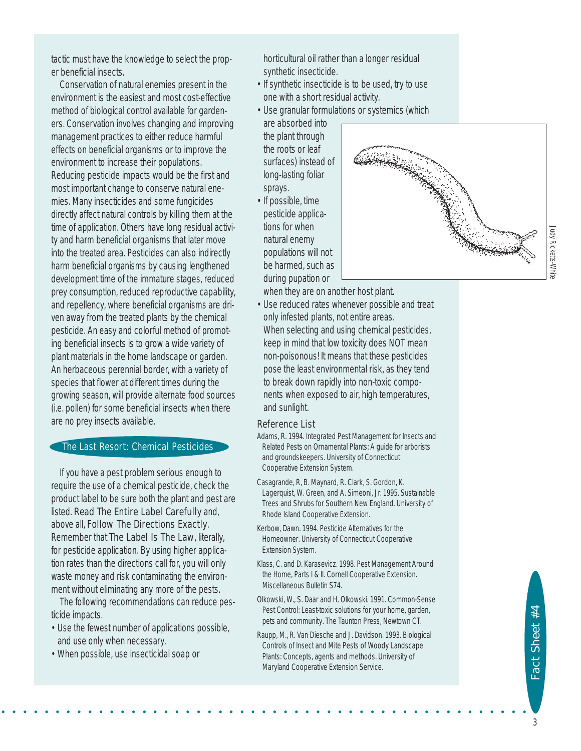tactic must have the knowledge to select the proper beneficial insects.

Conservation of natural enemies present in the environment is the easiest and most cost-effective method of biological control available for gardeners. Conservation involves changing and improving management practices to either reduce harmful effects on beneficial organisms or to improve the environment to increase their populations. Reducing pesticide impacts would be the first and most important change to conserve natural enemies. Many insecticides and some fungicides directly affect natural controls by killing them at the time of application. Others have long residual activity and harm beneficial organisms that later move into the treated area. Pesticides can also indirectly harm beneficial organisms by causing lengthened development time of the immature stages, reduced prey consumption, reduced reproductive capability, and repellency, where beneficial organisms are driven away from the treated plants by the chemical pesticide. An easy and colorful method of promoting beneficial insects is to grow a wide variety of plant materials in the home landscape or garden. An herbaceous perennial border, with a variety of species that flower at different times during the growing season, will provide alternate food sources (i.e. pollen) for some beneficial insects when there are no prey insects available.

#### The Last Resort: Chemical Pesticides

If you have a pest problem serious enough to require the use of a chemical pesticide, check the product label to be sure both the plant and pest are listed. Read The Entire Label Carefully and, above all, Follow The Directions Exactly. Remember that The Label Is The Law, literally, for pesticide application. By using higher application rates than the directions call for, you will only waste money and risk contaminating the environment without eliminating any more of the pests.

The following recommendations can reduce pesticide impacts.

- Use the fewest number of applications possible, and use only when necessary.
- When possible, use insecticidal soap or

horticultural oil rather than a longer residual synthetic insecticide.

- If synthetic insecticide is to be used, try to use one with a short residual activity.
- Use granular formulations or systemics (which

are absorbed into the plant through the roots or leaf surfaces) instead of long-lasting foliar sprays.

• If possible, time pesticide applications for when natural enemy populations will not be harmed, such as during pupation or

when they are on another host plant.

• Use reduced rates whenever possible and treat only infested plants, not entire areas. When selecting and using chemical pesticides, keep in mind that low toxicity does NOT mean non-poisonous! It means that these pesticides pose the least environmental risk, as they tend to break down rapidly into non-toxic components when exposed to air, high temperatures, and sunlight.

#### Reference List

• • • • • • • • • • • • • • • • • • • • • • • • • • • • • • • • • • • • • • • • • • • • • • • • •

- Adams, R. 1994. *Integrated Pest Management for Insects and Related Pests on Ornamental Plants: A guide for arborists and groundskeepers*. University of Connecticut Cooperative Extension System.
- Casagrande, R, B. Maynard, R. Clark, S. Gordon, K. Lagerquist, W. Green, and A. Simeoni, Jr. 1995. *Sustainable Trees and Shrubs for Southern New England*. University of Rhode Island Cooperative Extension.
- Kerbow, Dawn. 1994. *Pesticide Alternatives for the Homeowner*. University of Connecticut Cooperative Extension System.
- Klass, C. and D. Karasevicz. 1998. *Pest Management Around the Home, Parts I & II*. Cornell Cooperative Extension. Miscellaneous Bulletin S74.
- Olkowski, W., S. Daar and H. Olkowski. 1991. *Common-Sense Pest Control: Least-toxic solutions for your home, garden, pets and community*. The Taunton Press, Newtown CT.
- Raupp, M., R. Van Diesche and J. Davidson. 1993. *Biological Controls of Insect and Mite Pests of Woody Landscape Plants: Concepts, agents and methods*. University of Maryland Cooperative Extension Service.